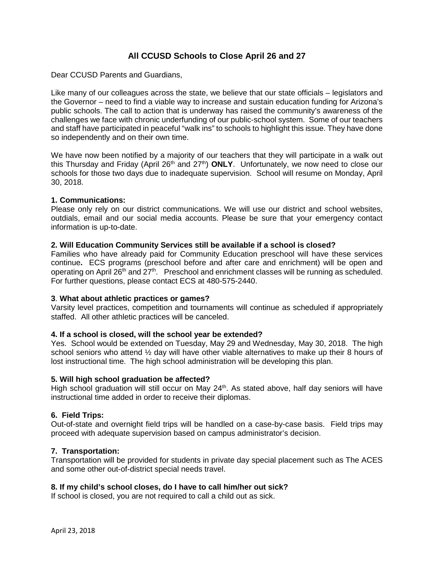# **All CCUSD Schools to Close April 26 and 27**

Dear CCUSD Parents and Guardians,

Like many of our colleagues across the state, we believe that our state officials – legislators and the Governor – need to find a viable way to increase and sustain education funding for Arizona's public schools. The call to action that is underway has raised the community's awareness of the challenges we face with chronic underfunding of our public-school system. Some of our teachers and staff have participated in peaceful "walk ins" to schools to highlight this issue. They have done so independently and on their own time.

We have now been notified by a majority of our teachers that they will participate in a walk out this Thursday and Friday (April 26<sup>th</sup> and 27<sup>th</sup>) **ONLY**. Unfortunately, we now need to close our schools for those two days due to inadequate supervision. School will resume on Monday, April 30, 2018.

#### **1. Communications:**

Please only rely on our district communications. We will use our district and school websites, outdials, email and our social media accounts. Please be sure that your emergency contact information is up-to-date.

#### **2. Will Education Community Services still be available if a school is closed?**

Families who have already paid for Community Education preschool will have these services continue**.** ECS programs (preschool before and after care and enrichment) will be open and operating on April  $26<sup>th</sup>$  and  $27<sup>th</sup>$ . Preschool and enrichment classes will be running as scheduled. For further questions, please contact ECS at 480-575-2440.

#### **3**. **What about athletic practices or games?**

Varsity level practices, competition and tournaments will continue as scheduled if appropriately staffed. All other athletic practices will be canceled.

#### **4. If a school is closed, will the school year be extended?**

Yes. School would be extended on Tuesday, May 29 and Wednesday, May 30, 2018. The high school seniors who attend ½ day will have other viable alternatives to make up their 8 hours of lost instructional time. The high school administration will be developing this plan.

#### **5. Will high school graduation be affected?**

High school graduation will still occur on May 24<sup>th</sup>. As stated above, half day seniors will have instructional time added in order to receive their diplomas.

#### **6. Field Trips:**

Out-of-state and overnight field trips will be handled on a case-by-case basis. Field trips may proceed with adequate supervision based on campus administrator's decision.

#### **7. Transportation:**

Transportation will be provided for students in private day special placement such as The ACES and some other out-of-district special needs travel.

#### **8. If my child's school closes, do I have to call him/her out sick?**

If school is closed, you are not required to call a child out as sick.